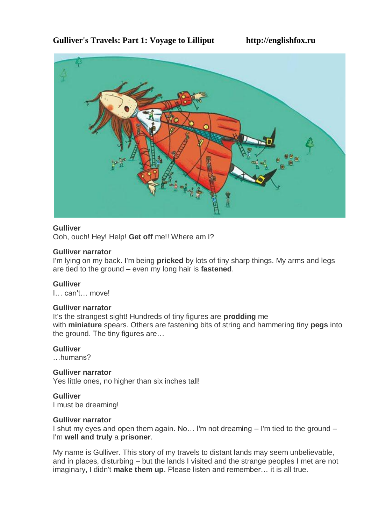# **Gulliver's Travels: Part 1: Voyage to Lilliput http://englishfox.ru**



# **Gulliver**

Ooh, ouch! Hey! Help! **Get off** me!! Where am I?

### **Gulliver narrator**

I'm lying on my back. I'm being **pricked** by lots of tiny sharp things. My arms and legs are tied to the ground – even my long hair is **fastened**.

#### **Gulliver**

I… can't… move!

#### **Gulliver narrator**

It's the strangest sight! Hundreds of tiny figures are **prodding** me with **miniature** spears. Others are fastening bits of string and hammering tiny **pegs** into the ground. The tiny figures are…

#### **Gulliver**

…humans?

### **Gulliver narrator**

Yes little ones, no higher than six inches tall!

# **Gulliver**

I must be dreaming!

### **Gulliver narrator**

I shut my eyes and open them again. No… I'm not dreaming – I'm tied to the ground – I'm **well and truly** a **prisoner**.

My name is Gulliver. This story of my travels to distant lands may seem unbelievable, and in places, disturbing – but the lands I visited and the strange peoples I met are not imaginary, I didn't **make them up**. Please listen and remember… it is all true.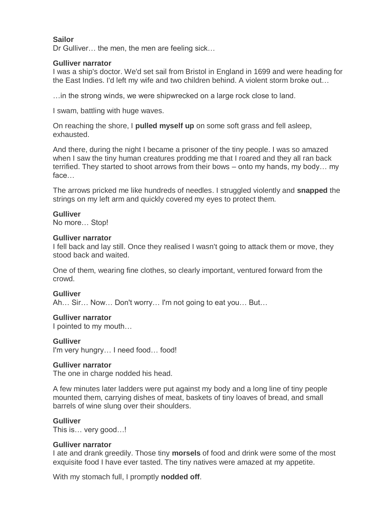# **Sailor**

Dr Gulliver… the men, the men are feeling sick…

### **Gulliver narrator**

I was a ship's doctor. We'd set sail from Bristol in England in 1699 and were heading for the East Indies. I'd left my wife and two children behind. A violent storm broke out…

... in the strong winds, we were shipwrecked on a large rock close to land.

I swam, battling with huge waves.

On reaching the shore, I **pulled myself up** on some soft grass and fell asleep, exhausted.

And there, during the night I became a prisoner of the tiny people. I was so amazed when I saw the tiny human creatures prodding me that I roared and they all ran back terrified. They started to shoot arrows from their bows – onto my hands, my body… my face…

The arrows pricked me like hundreds of needles. I struggled violently and **snapped** the strings on my left arm and quickly covered my eyes to protect them.

### **Gulliver**

No more… Stop!

#### **Gulliver narrator**

I fell back and lay still. Once they realised I wasn't going to attack them or move, they stood back and waited.

One of them, wearing fine clothes, so clearly important, ventured forward from the crowd.

### **Gulliver**

Ah… Sir… Now… Don't worry… I'm not going to eat you… But…

### **Gulliver narrator**

I pointed to my mouth…

#### **Gulliver**

I'm very hungry… I need food… food!

#### **Gulliver narrator**

The one in charge nodded his head.

A few minutes later ladders were put against my body and a long line of tiny people mounted them, carrying dishes of meat, baskets of tiny loaves of bread, and small barrels of wine slung over their shoulders.

#### **Gulliver**

This is… very good…!

#### **Gulliver narrator**

I ate and drank greedily. Those tiny **morsels** of food and drink were some of the most exquisite food I have ever tasted. The tiny natives were amazed at my appetite.

With my stomach full, I promptly **nodded off**.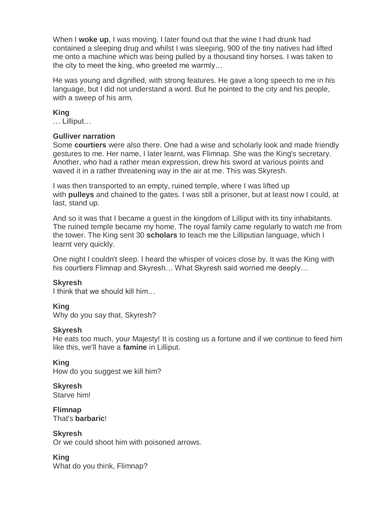When I **woke up**, I was moving. I later found out that the wine I had drunk had contained a sleeping drug and whilst I was sleeping, 900 of the tiny natives had lifted me onto a machine which was being pulled by a thousand tiny horses. I was taken to the city to meet the king, who greeted me warmly…

He was young and dignified, with strong features. He gave a long speech to me in his language, but I did not understand a word. But he pointed to the city and his people, with a sweep of his arm.

### **King**

… Lilliput…

### **Gulliver narration**

Some **courtiers** were also there. One had a wise and scholarly look and made friendly gestures to me. Her name, I later learnt, was Flimnap. She was the King's secretary. Another, who had a rather mean expression, drew his sword at various points and waved it in a rather threatening way in the air at me. This was Skyresh.

I was then transported to an empty, ruined temple, where I was lifted up with **pulleys** and chained to the gates. I was still a prisoner, but at least now I could, at last, stand up.

And so it was that I became a guest in the kingdom of Lilliput with its tiny inhabitants. The ruined temple became my home. The royal family came regularly to watch me from the tower. The King sent 30 **scholars** to teach me the Lilliputian language, which I learnt very quickly.

One night I couldn't sleep. I heard the whisper of voices close by. It was the King with his courtiers Flimnap and Skyresh… What Skyresh said worried me deeply…

### **Skyresh**

I think that we should kill him…

### **King**

Why do you say that, Skyresh?

#### **Skyresh**

He eats too much, your Majesty! It is costing us a fortune and if we continue to feed him like this, we'll have a **famine** in Lilliput.

**King** How do you suggest we kill him?

**Skyresh** Starve him!

**Flimnap** That's **barbaric**!

**Skyresh**

Or we could shoot him with poisoned arrows.

### **King**

What do you think, Flimnap?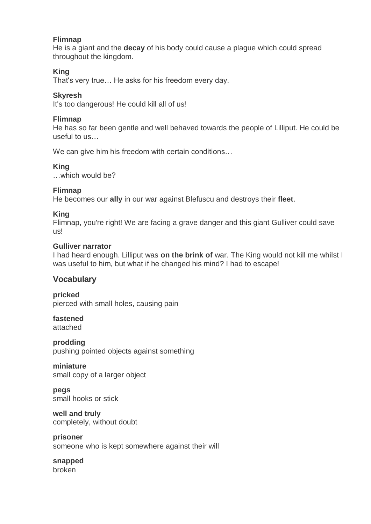# **Flimnap**

He is a giant and the **decay** of his body could cause a plague which could spread throughout the kingdom.

# **King**

That's very true… He asks for his freedom every day.

### **Skyresh**

It's too dangerous! He could kill all of us!

### **Flimnap**

He has so far been gentle and well behaved towards the people of Lilliput. He could be useful to us…

We can give him his freedom with certain conditions…

# **King**

…which would be?

### **Flimnap**

He becomes our **ally** in our war against Blefuscu and destroys their **fleet**.

# **King**

Flimnap, you're right! We are facing a grave danger and this giant Gulliver could save us!

### **Gulliver narrator**

I had heard enough. Lilliput was **on the brink of** war. The King would not kill me whilst I was useful to him, but what if he changed his mind? I had to escape!

# **Vocabulary**

**pricked** pierced with small holes, causing pain

**fastened** attached

**prodding** pushing pointed objects against something

**miniature** small copy of a larger object

**pegs** small hooks or stick

**well and truly** completely, without doubt

**prisoner** someone who is kept somewhere against their will

**snapped** broken